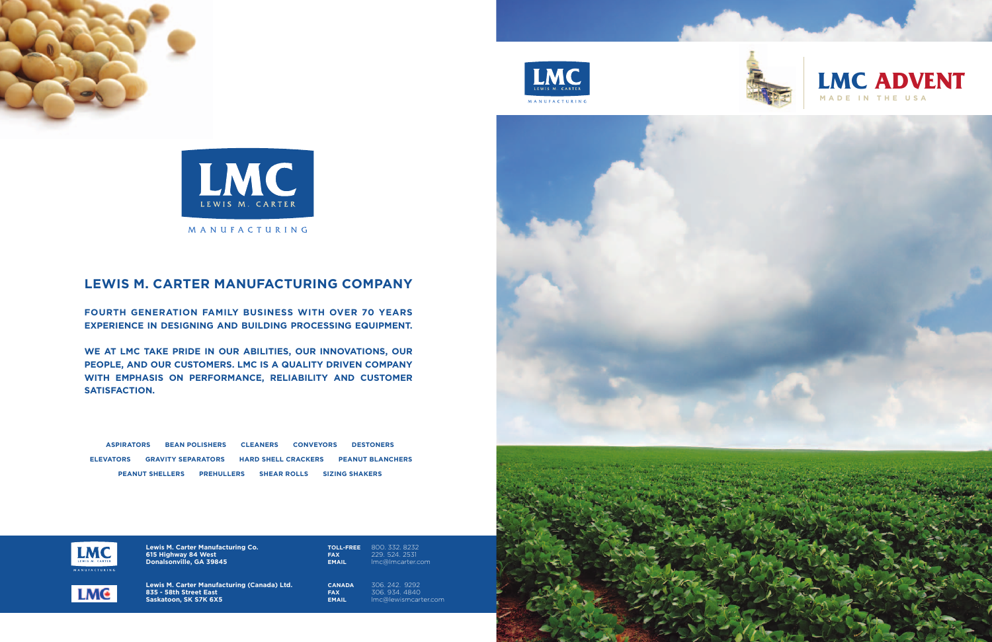



MANUFACTURING



### **LEWIS M. CARTER MANUFACTURING COMPANY**

**FOURTH GENERATION FAMILY BUSINESS WITH OVER 70 YEARS EXPERIENCE IN DESIGNING AND BUILDING PROCESSING EQUIPMENT.**

**WE AT LMC TAKE PRIDE IN OUR ABILITIES, OUR INNOVATIONS, OUR PEOPLE, AND OUR CUSTOMERS. LMC IS A QUALITY DRIVEN COMPANY WITH EMPHASIS ON PERFORMANCE, RELIABILITY AND CUSTOMER SATISFACTION.**

**ASPIRATORS BEAN POLISHERS CLEANERS CONVEYORS DESTONERS ELEVATORS GRAVITY SEPARATORS HARD SHELL CRACKERS PEANUT BLANCHERS PEANUT SHELLERS PREHULLERS SHEAR ROLLS SIZING SHAKERS**



**Lewis M. Carter Manufacturing Co. 615 Highway 84 West Donalsonville, GA 39845**



**Lewis M. Carter Manufacturing (Canada) Ltd. 835 - 58th Street East Saskatoon, SK S7K 6X5** 



**CANADA** 306. 242. 9292 **FAX** 306. 934. 4840 **EMAIL** lmc@lewismcarter.com